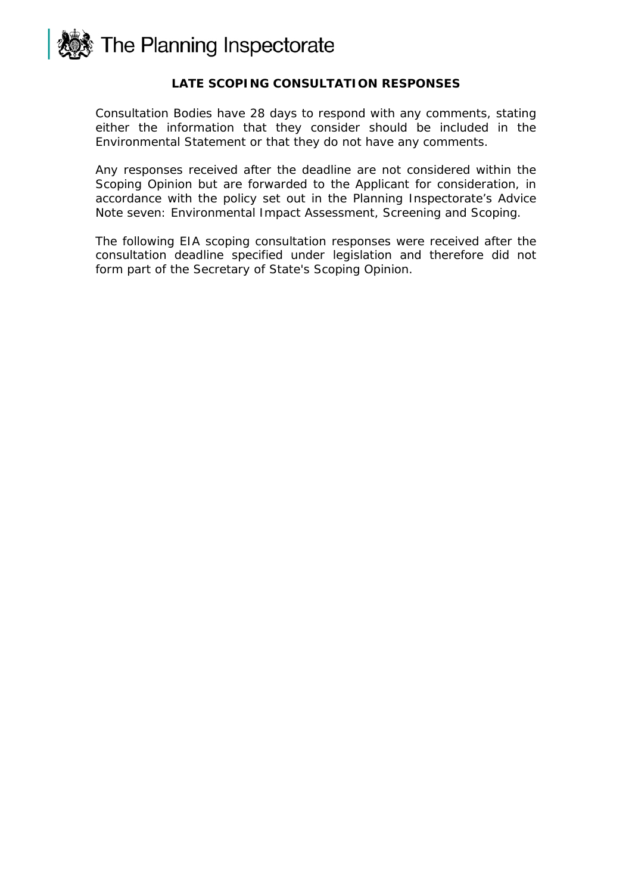

### **LATE SCOPING CONSULTATION RESPONSES**

Consultation Bodies have 28 days to respond with any comments, stating either the information that they consider should be included in the Environmental Statement or that they do not have any comments.

Any responses received after the deadline are not considered within the Scoping Opinion but are forwarded to the Applicant for consideration, in accordance with the policy set out in the Planning Inspectorate's Advice Note seven: Environmental Impact Assessment, Screening and Scoping.

The following EIA scoping consultation responses were received after the consultation deadline specified under legislation and therefore did not form part of the Secretary of State's Scoping Opinion.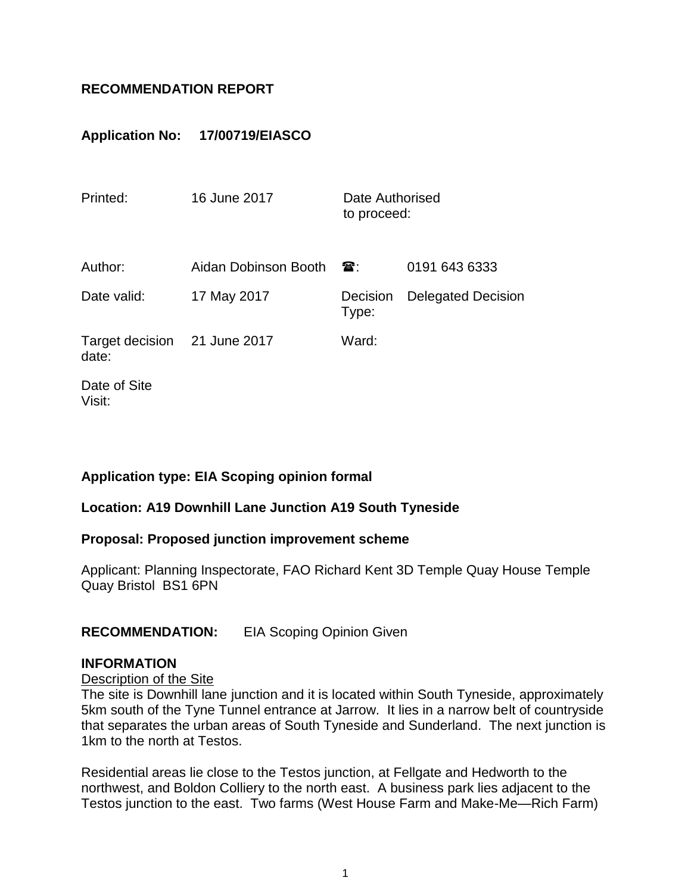# **RECOMMENDATION REPORT**

# **Application No: 17/00719/EIASCO**

| Printed:                              | 16 June 2017         | Date Authorised<br>to proceed: |                           |
|---------------------------------------|----------------------|--------------------------------|---------------------------|
| Author:                               | Aidan Dobinson Booth | $\mathbf{a}$ :                 | 0191 643 6333             |
| Date valid:                           | 17 May 2017          | Decision<br>Type:              | <b>Delegated Decision</b> |
| Target decision 21 June 2017<br>date: |                      | Ward:                          |                           |
| Date of Site<br>Visit:                |                      |                                |                           |

## **Application type: EIA Scoping opinion formal**

## **Location: A19 Downhill Lane Junction A19 South Tyneside**

#### **Proposal: Proposed junction improvement scheme**

Applicant: Planning Inspectorate, FAO Richard Kent 3D Temple Quay House Temple Quay Bristol BS1 6PN

## **RECOMMENDATION:** EIA Scoping Opinion Given

#### **INFORMATION**

### Description of the Site

The site is Downhill lane junction and it is located within South Tyneside, approximately 5km south of the Tyne Tunnel entrance at Jarrow. It lies in a narrow belt of countryside that separates the urban areas of South Tyneside and Sunderland. The next junction is 1km to the north at Testos.

Residential areas lie close to the Testos junction, at Fellgate and Hedworth to the northwest, and Boldon Colliery to the north east. A business park lies adjacent to the Testos junction to the east. Two farms (West House Farm and Make-Me—Rich Farm)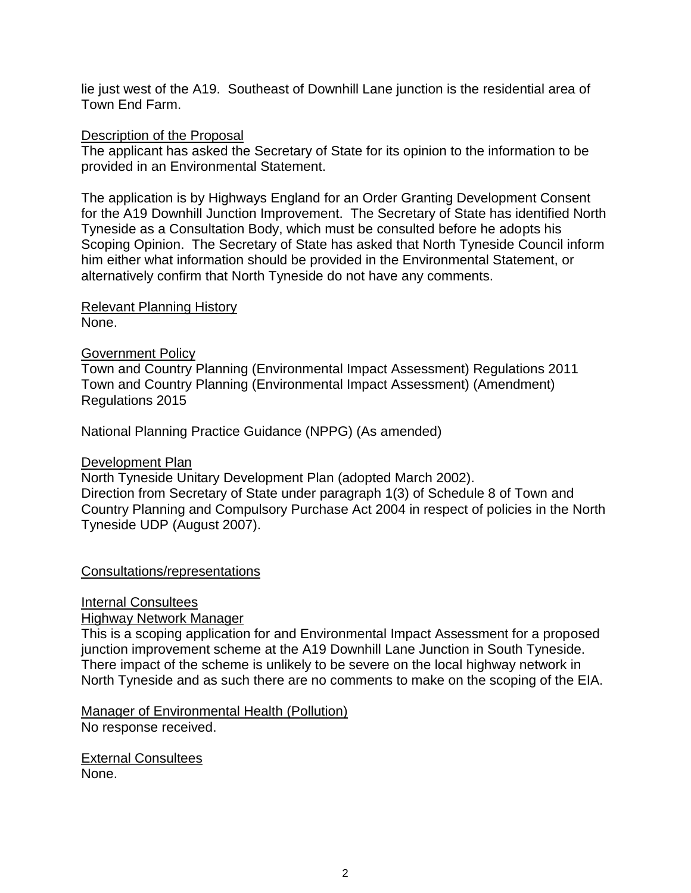lie just west of the A19. Southeast of Downhill Lane junction is the residential area of Town End Farm.

### Description of the Proposal

The applicant has asked the Secretary of State for its opinion to the information to be provided in an Environmental Statement.

The application is by Highways England for an Order Granting Development Consent for the A19 Downhill Junction Improvement. The Secretary of State has identified North Tyneside as a Consultation Body, which must be consulted before he adopts his Scoping Opinion. The Secretary of State has asked that North Tyneside Council inform him either what information should be provided in the Environmental Statement, or alternatively confirm that North Tyneside do not have any comments.

Relevant Planning History None.

### Government Policy

Town and Country Planning (Environmental Impact Assessment) Regulations 2011 Town and Country Planning (Environmental Impact Assessment) (Amendment) Regulations 2015

National Planning Practice Guidance (NPPG) (As amended)

#### Development Plan

North Tyneside Unitary Development Plan (adopted March 2002). Direction from Secretary of State under paragraph 1(3) of Schedule 8 of Town and Country Planning and Compulsory Purchase Act 2004 in respect of policies in the North Tyneside UDP (August 2007).

#### Consultations/representations

Internal Consultees

Highway Network Manager

This is a scoping application for and Environmental Impact Assessment for a proposed junction improvement scheme at the A19 Downhill Lane Junction in South Tyneside. There impact of the scheme is unlikely to be severe on the local highway network in North Tyneside and as such there are no comments to make on the scoping of the EIA.

Manager of Environmental Health (Pollution) No response received.

External Consultees None.